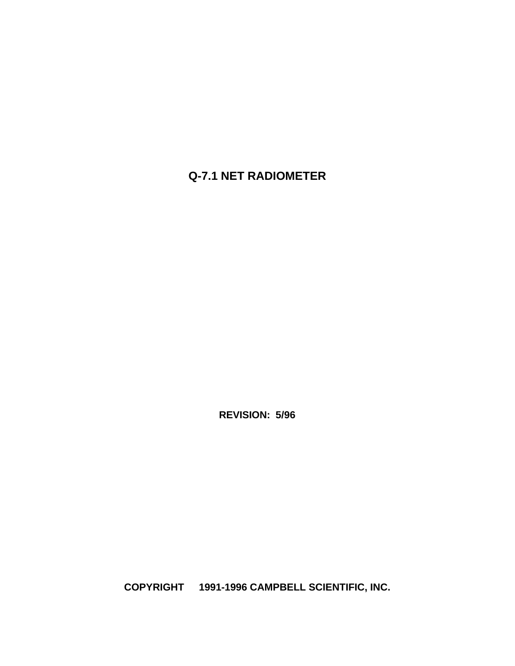# **Q-7.1 NET RADIOMETER**

**REVISION: 5/96**

**COPYRIGHT 1991-1996 CAMPBELL SCIENTIFIC, INC.**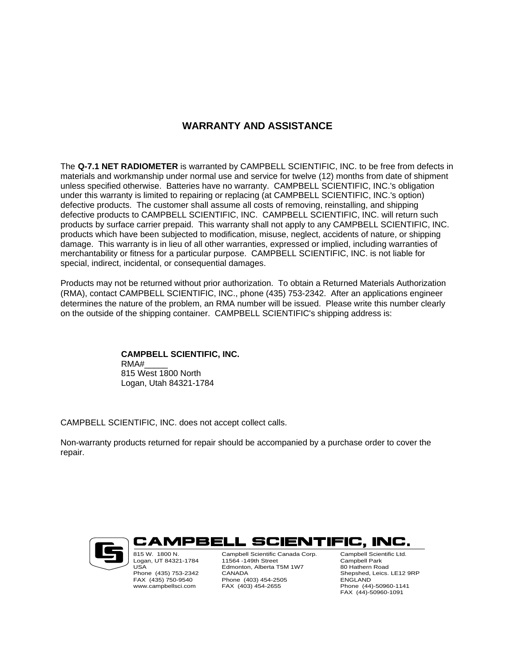# **WARRANTY AND ASSISTANCE**

The **Q-7.1 NET RADIOMETER** is warranted by CAMPBELL SCIENTIFIC, INC. to be free from defects in materials and workmanship under normal use and service for twelve (12) months from date of shipment unless specified otherwise. Batteries have no warranty. CAMPBELL SCIENTIFIC, INC.'s obligation under this warranty is limited to repairing or replacing (at CAMPBELL SCIENTIFIC, INC.'s option) defective products. The customer shall assume all costs of removing, reinstalling, and shipping defective products to CAMPBELL SCIENTIFIC, INC. CAMPBELL SCIENTIFIC, INC. will return such products by surface carrier prepaid. This warranty shall not apply to any CAMPBELL SCIENTIFIC, INC. products which have been subjected to modification, misuse, neglect, accidents of nature, or shipping damage. This warranty is in lieu of all other warranties, expressed or implied, including warranties of merchantability or fitness for a particular purpose. CAMPBELL SCIENTIFIC, INC. is not liable for special, indirect, incidental, or consequential damages.

Products may not be returned without prior authorization. To obtain a Returned Materials Authorization (RMA), contact CAMPBELL SCIENTIFIC, INC., phone (435) 753-2342. After an applications engineer determines the nature of the problem, an RMA number will be issued. Please write this number clearly on the outside of the shipping container. CAMPBELL SCIENTIFIC's shipping address is:

#### **CAMPBELL SCIENTIFIC, INC.** RMA#\_\_\_\_\_ 815 West 1800 North Logan, Utah 84321-1784

CAMPBELL SCIENTIFIC, INC. does not accept collect calls.

Non-warranty products returned for repair should be accompanied by a purchase order to cover the repair.



CAMPBELL SCIENTIFIC, INC. 815 W. 1800 N. Logan, UT 84321-1784 USA

Phone (435) 753-2342 FAX (435) 750-9540 www.campbellsci.com

Campbell Scientific Canada Corp. 11564 -149th Street Edmonton, Alberta T5M 1W7 CANADA Phone (403) 454-2505 FAX (403) 454-2655

Campbell Scientific Ltd. Campbell Park 80 Hathern Road Shepshed, Leics. LE12 9RP **ENGLAND** Phone (44)-50960-1141 FAX (44)-50960-1091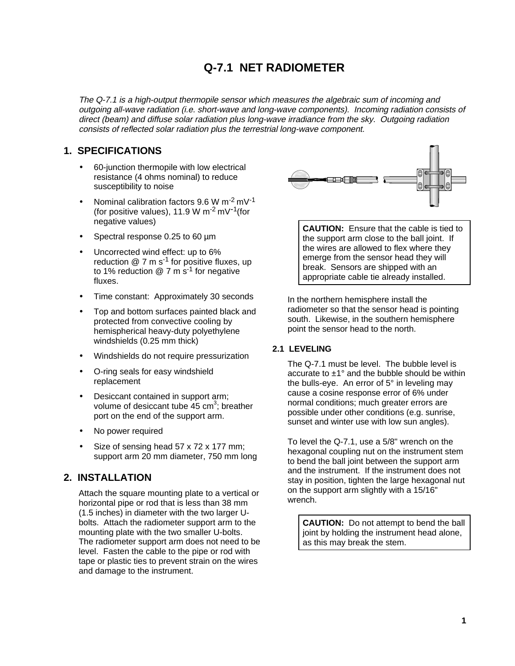# **Q-7.1 NET RADIOMETER**

The Q-7.1 is a high-output thermopile sensor which measures the algebraic sum of incoming and outgoing all-wave radiation (i.e. short-wave and long-wave components). Incoming radiation consists of direct (beam) and diffuse solar radiation plus long-wave irradiance from the sky. Outgoing radiation consists of reflected solar radiation plus the terrestrial long-wave component.

# **1. SPECIFICATIONS**

- 60-junction thermopile with low electrical resistance (4 ohms nominal) to reduce susceptibility to noise
- Nominal calibration factors  $9.6 W m<sup>-2</sup> mV<sup>-1</sup>$ (for positive values), 11.9 W m<sup>-2</sup> mV<sup>-1</sup>(for negative values)
- Spectral response 0.25 to 60 µm
- Uncorrected wind effect: up to 6% reduction  $@ 7 \text{ m s}^{-1}$  for positive fluxes, up to 1% reduction  $@$  7 m s<sup>-1</sup> for negative fluxes.
- Time constant: Approximately 30 seconds
- Top and bottom surfaces painted black and protected from convective cooling by hemispherical heavy-duty polyethylene windshields (0.25 mm thick)
- Windshields do not require pressurization
- O-ring seals for easy windshield replacement
- Desiccant contained in support arm; volume of desiccant tube 45 cm<sup>3</sup>; breather port on the end of the support arm.
- No power required
- Size of sensing head 57 x 72 x 177 mm; support arm 20 mm diameter, 750 mm long

# **2. INSTALLATION**

Attach the square mounting plate to a vertical or horizontal pipe or rod that is less than 38 mm (1.5 inches) in diameter with the two larger Ubolts. Attach the radiometer support arm to the mounting plate with the two smaller U-bolts. The radiometer support arm does not need to be level. Fasten the cable to the pipe or rod with tape or plastic ties to prevent strain on the wires and damage to the instrument.



**CAUTION:** Ensure that the cable is tied to the support arm close to the ball joint. If the wires are allowed to flex where they emerge from the sensor head they will break. Sensors are shipped with an appropriate cable tie already installed.

In the northern hemisphere install the radiometer so that the sensor head is pointing south. Likewise, in the southern hemisphere point the sensor head to the north.

## **2.1 LEVELING**

The Q-7.1 must be level. The bubble level is accurate to  $\pm 1^{\circ}$  and the bubble should be within the bulls-eye. An error of 5° in leveling may cause a cosine response error of 6% under normal conditions; much greater errors are possible under other conditions (e.g. sunrise, sunset and winter use with low sun angles).

To level the Q-7.1, use a 5/8" wrench on the hexagonal coupling nut on the instrument stem to bend the ball joint between the support arm and the instrument. If the instrument does not stay in position, tighten the large hexagonal nut on the support arm slightly with a 15/16" wrench.

**CAUTION:** Do not attempt to bend the ball joint by holding the instrument head alone, as this may break the stem.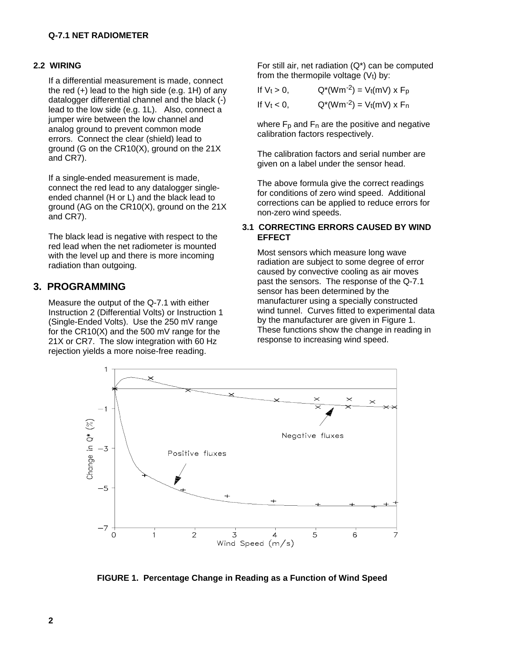#### **2.2 WIRING**

If a differential measurement is made, connect the red (+) lead to the high side (e.g. 1H) of any datalogger differential channel and the black (-) lead to the low side (e.g. 1L). Also, connect a jumper wire between the low channel and analog ground to prevent common mode errors. Connect the clear (shield) lead to ground (G on the CR10(X), ground on the 21X and CR7).

If a single-ended measurement is made, connect the red lead to any datalogger singleended channel (H or L) and the black lead to ground (AG on the CR10(X), ground on the 21X and CR7).

The black lead is negative with respect to the red lead when the net radiometer is mounted with the level up and there is more incoming radiation than outgoing.

# **3. PROGRAMMING**

Measure the output of the Q-7.1 with either Instruction 2 (Differential Volts) or Instruction 1 (Single-Ended Volts). Use the 250 mV range for the CR10(X) and the 500 mV range for the 21X or CR7. The slow integration with 60 Hz rejection yields a more noise-free reading.

For still air, net radiation (Q\*) can be computed from the thermopile voltage  $(V_t)$  by:

| If $V_t > 0$ , | $Q^*(Wm^{-2}) = V_t(mV)$ x F <sub>p</sub> |
|----------------|-------------------------------------------|
| If $V_t < 0$ , | $Q^*(Wm^{-2}) = V_t(mV)$ x F <sub>n</sub> |

where  $F_p$  and  $F_p$  are the positive and negative calibration factors respectively.

The calibration factors and serial number are given on a label under the sensor head.

The above formula give the correct readings for conditions of zero wind speed. Additional corrections can be applied to reduce errors for non-zero wind speeds.

#### **3.1 CORRECTING ERRORS CAUSED BY WIND EFFECT**

Most sensors which measure long wave radiation are subject to some degree of error caused by convective cooling as air moves past the sensors. The response of the Q-7.1 sensor has been determined by the manufacturer using a specially constructed wind tunnel. Curves fitted to experimental data by the manufacturer are given in Figure 1. These functions show the change in reading in response to increasing wind speed.



**FIGURE 1. Percentage Change in Reading as a Function of Wind Speed**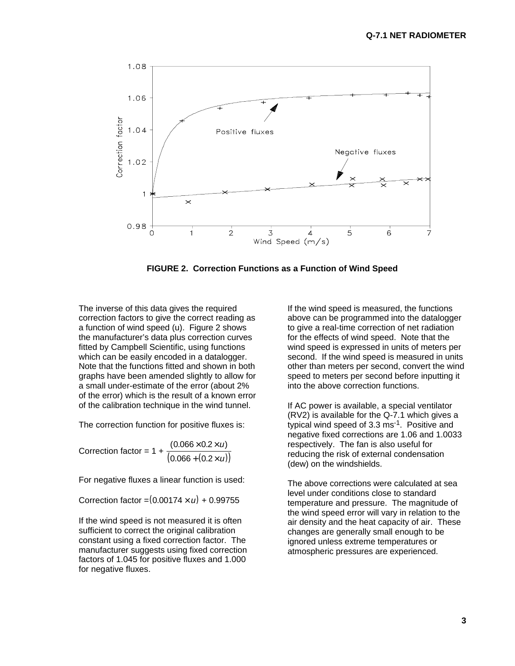

**FIGURE 2. Correction Functions as a Function of Wind Speed**

The inverse of this data gives the required correction factors to give the correct reading as a function of wind speed (u). Figure 2 shows the manufacturer's data plus correction curves fitted by Campbell Scientific, using functions which can be easily encoded in a datalogger. Note that the functions fitted and shown in both graphs have been amended slightly to allow for a small under-estimate of the error (about 2% of the error) which is the result of a known error of the calibration technique in the wind tunnel.

The correction function for positive fluxes is:

Correction factor =  $1 + \frac{(0.066 + (0.2 \times u))}{(0.066 + (0.2 \times u))}$  $(0.066 \times 0.2 \times u)$  $.066 + (0.$  $0.066 \times 0.2$  $0.066 + (0.2$  $\times$  0.2 $\times$  $+ (0.2\times$ u u

For negative fluxes a linear function is used:

Correction factor =  $(0.00174 \times u) + 0.99755$ 

If the wind speed is not measured it is often sufficient to correct the original calibration constant using a fixed correction factor. The manufacturer suggests using fixed correction factors of 1.045 for positive fluxes and 1.000 for negative fluxes.

If the wind speed is measured, the functions above can be programmed into the datalogger to give a real-time correction of net radiation for the effects of wind speed. Note that the wind speed is expressed in units of meters per second. If the wind speed is measured in units other than meters per second, convert the wind speed to meters per second before inputting it into the above correction functions.

If AC power is available, a special ventilator (RV2) is available for the Q-7.1 which gives a typical wind speed of 3.3 ms-1. Positive and negative fixed corrections are 1.06 and 1.0033 respectively. The fan is also useful for reducing the risk of external condensation (dew) on the windshields.

The above corrections were calculated at sea level under conditions close to standard temperature and pressure. The magnitude of the wind speed error will vary in relation to the air density and the heat capacity of air. These changes are generally small enough to be ignored unless extreme temperatures or atmospheric pressures are experienced.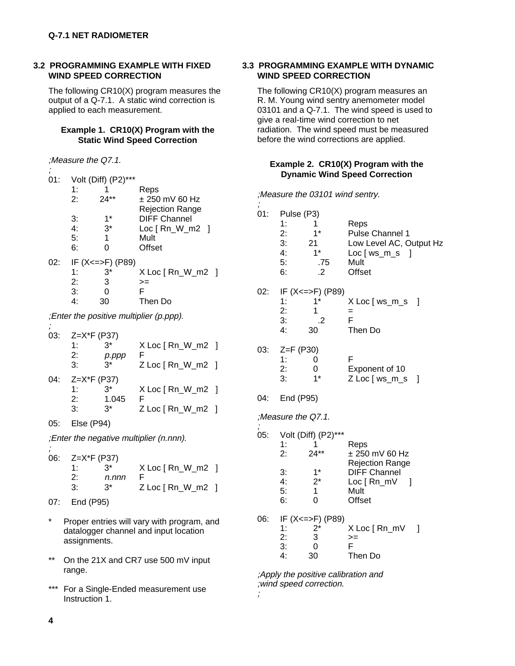#### **3.2 PROGRAMMING EXAMPLE WITH FIXED WIND SPEED CORRECTION**

The following CR10(X) program measures the output of a Q-7.1. A static wind correction is applied to each measurement.

#### **Example 1. CR10(X) Program with the Static Wind Speed Correction**

|                       | :Measure the Q7.1. |                   |                        |
|-----------------------|--------------------|-------------------|------------------------|
| $\overline{ }$<br>01: |                    | Volt (Diff) (P2)' |                        |
|                       | 1:                 |                   | Reps                   |
|                       | 2:                 | $24**$            | $\pm$ 250 mV 60 Hz     |
|                       |                    |                   | <b>Rejection Range</b> |
|                       | 3:                 | 1*                | <b>DIFF Channel</b>    |
|                       | 4:                 | $3^*$             | $Loc [Rn_W_m2]$        |
|                       | 5:                 | 1                 | Mult                   |
|                       | 6:                 | ი                 | Offset                 |
| 02:                   |                    | IF (X<=>F) (P89)  |                        |
|                       | 1:                 | $3^*$             | $X$ Loc $[ Rn_W_m^2 ]$ |
|                       | 2:                 | 3                 | $>=$                   |
|                       | 3:                 | 0                 | F                      |
|                       | 4:                 | 30                | Then Do                |
|                       | .                  |                   |                        |

;Enter the positive multiplier (p.ppp).

| 03: | $Z=X*F$ (P37) |       |                     |  |
|-----|---------------|-------|---------------------|--|
|     | $1 \cdot$     | 3*    | $X$ Loc [ Rn_W_m2 ] |  |
|     | 2:            | p.ppp |                     |  |
|     | 3:            | $3^*$ | Z Loc [ Rn_W_m2 ]   |  |
| 04: | $Z=X*F$ (P37) |       |                     |  |
|     | $1 \cdot$     | 3*    | $X$ Loc [ Rn_W_m2 ] |  |
|     | 2:            | 1.045 |                     |  |
|     | 3:            | ^?    | $Z$ Loc $[Rn_W_m2]$ |  |
|     |               |       |                     |  |

05: Else (P94)

;Enter the negative multiplier (n.nnn).

| 06: $Z=X^*F$ (P37)    |       |                     |  |  |
|-----------------------|-------|---------------------|--|--|
| 1.                    | $3^*$ | $X$ Loc [ Rn_W_m2 ] |  |  |
| $2\cdot$              | n.nnn |                     |  |  |
| $\mathcal{B}^{\cdot}$ | $3^*$ | $Z$ Loc $[Rn_W_m2]$ |  |  |
|                       |       |                     |  |  |

- 07: End (P95)
- Proper entries will vary with program, and datalogger channel and input location assignments.
- \*\* On the 21X and CR7 use 500 mV input range.
- \*\*\* For a Single-Ended measurement use Instruction 1.

#### **3.3 PROGRAMMING EXAMPLE WITH DYNAMIC WIND SPEED CORRECTION**

The following CR10(X) program measures an R. M. Young wind sentry anemometer model 03101 and a Q-7.1. The wind speed is used to give a real-time wind correction to net radiation. The wind speed must be measured before the wind corrections are applied.

## **Example 2. CR10(X) Program with the Dynamic Wind Speed Correction**

;Measure the 03101 wind sentry.

| 01: | Pulse (P3)<br>1:<br>2:<br>3:<br>4:<br>5:<br>6: | 1<br>$1^*$<br>21<br>$1^*$<br>.75<br>.2                                | Reps<br>Pulse Channel 1<br>Low Level AC, Output Hz<br>Loc [ ws_m_s<br>$\mathbf{I}$<br>Mult<br>Offset          |     |
|-----|------------------------------------------------|-----------------------------------------------------------------------|---------------------------------------------------------------------------------------------------------------|-----|
| 02: | 1:<br>2:<br>3:<br>4:                           | IF (X<=>F) (P89)<br>$1*$<br>1<br>.2<br>30                             | X Loc [ ws_m_s<br>=<br>F<br>Then Do                                                                           | - 1 |
| 03: | $Z = F (P30)$<br>1:<br>2:<br>3:                | 0<br>0<br>1*                                                          | F<br>Exponent of 10<br>Z Loc [ ws_m_s                                                                         | 1   |
| 04: | End (P95)                                      |                                                                       |                                                                                                               |     |
|     | Measure the Q7.1.                              |                                                                       |                                                                                                               |     |
| 05: | 1:<br>2:<br>3:<br>4:<br>5:<br>6:               | Volt (Diff) (P2)***<br>1<br>$24**$<br>$1*$<br>$2^*$<br>$\overline{0}$ | Reps<br>± 250 mV 60 Hz<br><b>Rejection Range</b><br><b>DIFF Channel</b><br>Loc [ Rn_mV<br>1<br>Mult<br>Offset |     |
| 06: | 1:<br>2:<br>3:<br>4:                           | IF (X <= >F) (P89)<br>$2^*$<br>3<br>$\overline{0}$<br>30              | X Loc [ Rn_mV<br>>=<br>F<br>Then Do                                                                           | 1   |

;Apply the positive calibration and ;wind speed correction.

;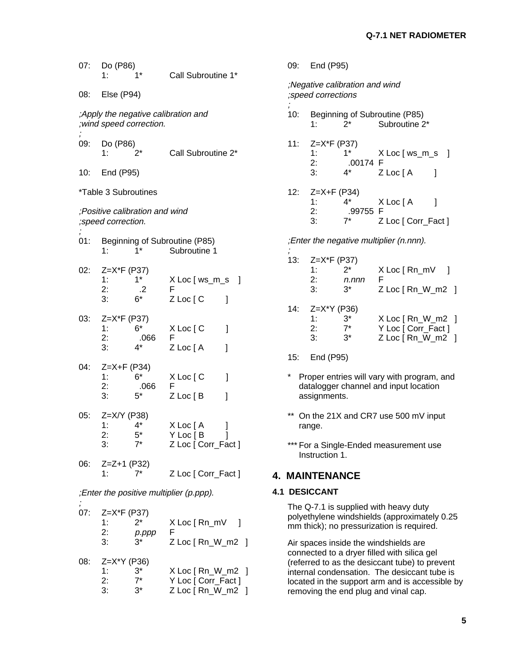| 07: | Do (P86)<br>1:                      |                                | Call Subroutine 1*                                            |
|-----|-------------------------------------|--------------------------------|---------------------------------------------------------------|
| 08: | Else (P94)                          |                                |                                                               |
|     | ; wind speed correction.            |                                | ;Apply the negative calibration and                           |
| 09: | Do (P86)                            | 2*                             | Call Subroutine 2*                                            |
|     | 10: End (P95)                       |                                |                                                               |
|     | *Table 3 Subroutines                |                                |                                                               |
|     | ; speed correction.                 | ;Positive calibration and wind |                                                               |
| 01: | 1:                                  | $1*$                           | Beginning of Subroutine (P85)<br>Subroutine 1                 |
| 02: | $Z = X*F$ (P37)<br>1:<br>2:<br>3:   | $1^*$<br>.2<br>$6*$            | X Loc [ ws_m_s<br>1<br>F<br>Z Loc [ C<br>1                    |
| 03: | Z=X*F (P37)<br>1:<br>2:<br>3:       | 6*<br>.066<br>4*               | X Loc [ C<br>1<br>F<br>Z Loc [A<br>1                          |
| 04: | $Z = X + F (P34)$<br>1:<br>2:<br>3: | 6*<br>.066<br>5*               | X Loc [ C<br>1<br>F<br>Z Loc [B<br>1                          |
| 05: | Z=X/Y (P38)<br>1:<br>2:<br>3.       | $4^*$<br>$5^*$<br>$7^*$        | X Loc [ A<br>]<br>l<br>Y Loc [ B<br>Z Loc [ Corr_Fact ]       |
| 06: | Z=Z+1 (P32)<br>1:                   | $7^*$                          | Z Loc [ Corr_Fact ]                                           |
|     |                                     |                                | ;Enter the positive multiplier (p.ppp).                       |
| 07: | $Z = X*F$ (P37)<br>1:<br>2:<br>3:   | $2^*$<br>p.ppp<br>3*           | $X$ Loc $[Rn_mV]$<br>F<br>Z Loc [ Rn_W_m2 ]                   |
| 08: | $Z = X^*Y$ (P36)<br>1:<br>2:<br>3:  | $3^*$<br>3*                    | X Loc [ Rn_W_m2 ]<br>Y Loc [ Corr_Fact ]<br>Z Loc [ Rn W m2 ] |

 $Z$  Loc  $[Rn_W_m^2]$ 

|                                 | 09: End (P95)                       |                                      |                                                |     |
|---------------------------------|-------------------------------------|--------------------------------------|------------------------------------------------|-----|
|                                 | ;speed corrections                  | Negative calibration and wind        |                                                |     |
| $\overline{\phantom{a}}$<br>10: | 1.                                  | $2^*$                                | Beginning of Subroutine (P85)<br>Subroutine 2* |     |
|                                 | 11: Z=X*F (P37)<br>1:<br>2:<br>3:   | $-1$ *<br>.00174 F<br>4*             | $X$ Loc $\lceil$ ws_m_s<br>Z Loc [A            | - 1 |
|                                 | 12: $Z=X+F$ (P34)<br>1:<br>2:<br>З. | $\mathcal{A}^*$<br>.99755 F<br>$7^*$ | X Loc [ A<br>Z Loc [ Corr_Fact ]               |     |
|                                 |                                     |                                      | ;Enter the negative multiplier (n.nnn).        |     |

| 13: | $Z = X*F$ (P37)<br>ヮ*<br>1.<br>2:<br>n.nnn<br>$3^*$<br>3:    | X Loc [ Rn mV<br>F<br>$Z$ Loc $[Rn_W_m2]$                            |
|-----|--------------------------------------------------------------|----------------------------------------------------------------------|
|     | 14: Z=X*Y (P36)<br>$3^*$<br>1:<br>2:<br>$7^*$<br>$3^*$<br>3: | $X$ Loc $[ Rn_W_m^2 ]$<br>Y Loc [ Corr_Fact ]<br>$Z$ Loc $[Rn_W_m2]$ |
| 15: | End (P95)                                                    |                                                                      |

- 
- \* Proper entries will vary with program, and datalogger channel and input location assignments.
- \*\* On the 21X and CR7 use 500 mV input range.
- \*\*\* For a Single-Ended measurement use Instruction 1.

# **4. MAINTENANCE**

## **4.1 DESICCANT**

The Q-7.1 is supplied with heavy duty polyethylene windshields (approximately 0.25 mm thick); no pressurization is required.

Air spaces inside the windshields are connected to a dryer filled with silica gel (referred to as the desiccant tube) to prevent internal condensation. The desiccant tube is located in the support arm and is accessible by removing the end plug and vinal cap.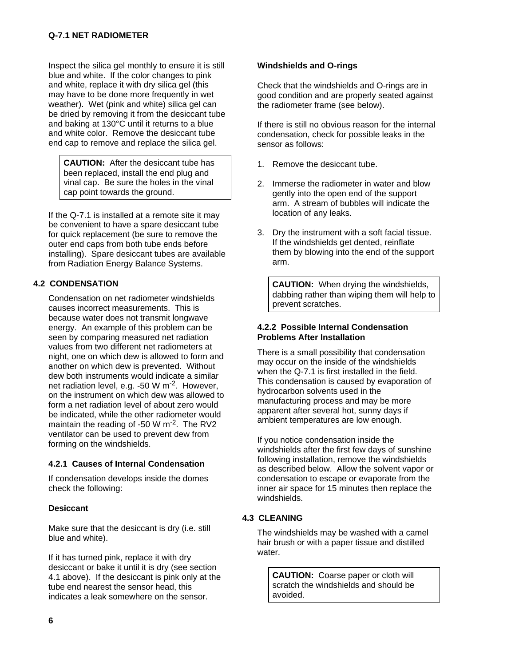Inspect the silica gel monthly to ensure it is still blue and white. If the color changes to pink and white, replace it with dry silica gel (this may have to be done more frequently in wet weather). Wet (pink and white) silica gel can be dried by removing it from the desiccant tube and baking at 130°C until it returns to a blue and white color. Remove the desiccant tube end cap to remove and replace the silica gel.

**CAUTION:** After the desiccant tube has been replaced, install the end plug and vinal cap. Be sure the holes in the vinal cap point towards the ground.

If the Q-7.1 is installed at a remote site it may be convenient to have a spare desiccant tube for quick replacement (be sure to remove the outer end caps from both tube ends before installing). Spare desiccant tubes are available from Radiation Energy Balance Systems.

## **4.2 CONDENSATION**

Condensation on net radiometer windshields causes incorrect measurements. This is because water does not transmit longwave energy. An example of this problem can be seen by comparing measured net radiation values from two different net radiometers at night, one on which dew is allowed to form and another on which dew is prevented. Without dew both instruments would indicate a similar net radiation level, e.g. -50 W m-2. However, on the instrument on which dew was allowed to form a net radiation level of about zero would be indicated, while the other radiometer would maintain the reading of -50 W m<sup>-2</sup>. The RV2 ventilator can be used to prevent dew from forming on the windshields.

## **4.2.1 Causes of Internal Condensation**

If condensation develops inside the domes check the following:

## **Desiccant**

Make sure that the desiccant is dry (i.e. still blue and white).

If it has turned pink, replace it with dry desiccant or bake it until it is dry (see section 4.1 above). If the desiccant is pink only at the tube end nearest the sensor head, this indicates a leak somewhere on the sensor.

#### **Windshields and O-rings**

Check that the windshields and O-rings are in good condition and are properly seated against the radiometer frame (see below).

If there is still no obvious reason for the internal condensation, check for possible leaks in the sensor as follows:

- 1. Remove the desiccant tube.
- 2. Immerse the radiometer in water and blow gently into the open end of the support arm. A stream of bubbles will indicate the location of any leaks.
- 3. Dry the instrument with a soft facial tissue. If the windshields get dented, reinflate them by blowing into the end of the support arm.

**CAUTION:** When drying the windshields, dabbing rather than wiping them will help to prevent scratches.

## **4.2.2 Possible Internal Condensation Problems After Installation**

There is a small possibility that condensation may occur on the inside of the windshields when the Q-7.1 is first installed in the field. This condensation is caused by evaporation of hydrocarbon solvents used in the manufacturing process and may be more apparent after several hot, sunny days if ambient temperatures are low enough.

If you notice condensation inside the windshields after the first few days of sunshine following installation, remove the windshields as described below. Allow the solvent vapor or condensation to escape or evaporate from the inner air space for 15 minutes then replace the windshields.

## **4.3 CLEANING**

The windshields may be washed with a camel hair brush or with a paper tissue and distilled water.

**CAUTION:** Coarse paper or cloth will scratch the windshields and should be avoided.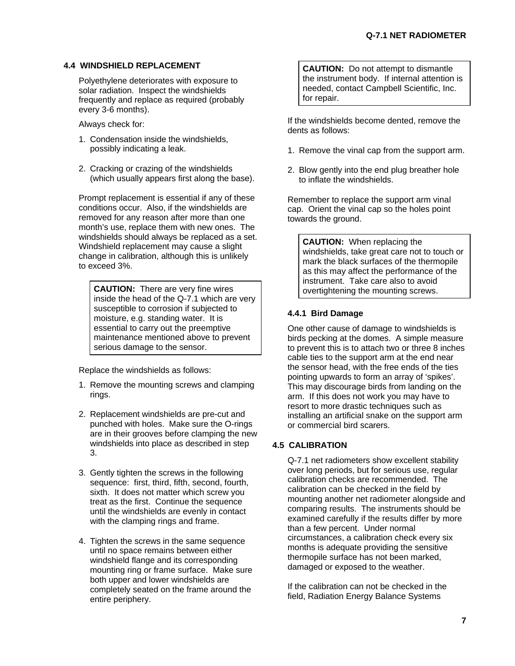#### **4.4 WINDSHIELD REPLACEMENT**

Polyethylene deteriorates with exposure to solar radiation. Inspect the windshields frequently and replace as required (probably every 3-6 months).

Always check for:

- 1. Condensation inside the windshields, possibly indicating a leak.
- 2. Cracking or crazing of the windshields (which usually appears first along the base).

Prompt replacement is essential if any of these conditions occur. Also, if the windshields are removed for any reason after more than one month's use, replace them with new ones. The windshields should always be replaced as a set. Windshield replacement may cause a slight change in calibration, although this is unlikely to exceed 3%.

**CAUTION:** There are very fine wires inside the head of the Q-7.1 which are very susceptible to corrosion if subjected to moisture, e.g. standing water. It is essential to carry out the preemptive maintenance mentioned above to prevent serious damage to the sensor.

Replace the windshields as follows:

- 1. Remove the mounting screws and clamping rings.
- 2. Replacement windshields are pre-cut and punched with holes. Make sure the O-rings are in their grooves before clamping the new windshields into place as described in step 3.
- 3. Gently tighten the screws in the following sequence: first, third, fifth, second, fourth, sixth. It does not matter which screw you treat as the first. Continue the sequence until the windshields are evenly in contact with the clamping rings and frame.
- 4. Tighten the screws in the same sequence until no space remains between either windshield flange and its corresponding mounting ring or frame surface. Make sure both upper and lower windshields are completely seated on the frame around the entire periphery.

**CAUTION:** Do not attempt to dismantle the instrument body. If internal attention is needed, contact Campbell Scientific, Inc. for repair.

If the windshields become dented, remove the dents as follows:

- 1. Remove the vinal cap from the support arm.
- 2. Blow gently into the end plug breather hole to inflate the windshields.

Remember to replace the support arm vinal cap. Orient the vinal cap so the holes point towards the ground.

**CAUTION:** When replacing the windshields, take great care not to touch or mark the black surfaces of the thermopile as this may affect the performance of the instrument. Take care also to avoid overtightening the mounting screws.

## **4.4.1 Bird Damage**

One other cause of damage to windshields is birds pecking at the domes. A simple measure to prevent this is to attach two or three 8 inches cable ties to the support arm at the end near the sensor head, with the free ends of the ties pointing upwards to form an array of 'spikes'. This may discourage birds from landing on the arm. If this does not work you may have to resort to more drastic techniques such as installing an artificial snake on the support arm or commercial bird scarers.

## **4.5 CALIBRATION**

Q-7.1 net radiometers show excellent stability over long periods, but for serious use, regular calibration checks are recommended. The calibration can be checked in the field by mounting another net radiometer alongside and comparing results. The instruments should be examined carefully if the results differ by more than a few percent. Under normal circumstances, a calibration check every six months is adequate providing the sensitive thermopile surface has not been marked, damaged or exposed to the weather.

If the calibration can not be checked in the field, Radiation Energy Balance Systems